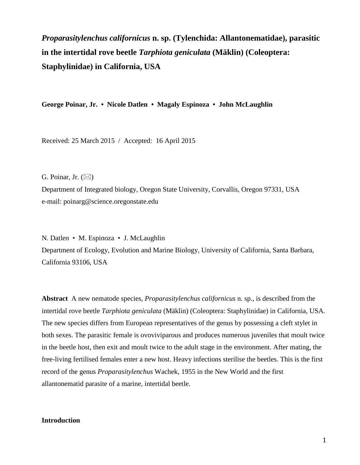*Proparasitylenchus californicus* **n. sp. (Tylenchida: Allantonematidae), parasitic in the intertidal rove beetle** *Tarphiota geniculata* **(Mäklin) (Coleoptera: Staphylinidae) in California, USA**

**George Poinar, Jr. • Nicole Datlen • Magaly Espinoza • John McLaughlin**

Received: 25 March 2015 / Accepted: 16 April 2015

G. Poinar, Jr.  $(\boxtimes)$ 

Department of Integrated biology, Oregon State University, Corvallis, Oregon 97331, USA e-mail: poinarg@science.oregonstate.edu

N. Datlen • M. Espinoza • J. McLaughlin Department of Ecology, Evolution and Marine Biology, University of California, Santa Barbara, California 93106, USA

**Abstract** A new nematode species, *Proparasitylenchus californicus* n. sp., is described from the intertidal rove beetle *Tarphiota geniculata* (Mäklin) (Coleoptera: Staphylinidae) in California, USA. The new species differs from European representatives of the genus by possessing a cleft stylet in both sexes. The parasitic female is ovoviviparous and produces numerous juveniles that moult twice in the beetle host, then exit and moult twice to the adult stage in the environment. After mating, the free-living fertilised females enter a new host. Heavy infections sterilise the beetles. This is the first record of the genus *Proparasitylenchus* Wachek, 1955 in the New World and the first allantonematid parasite of a marine, intertidal beetle.

# **Introduction**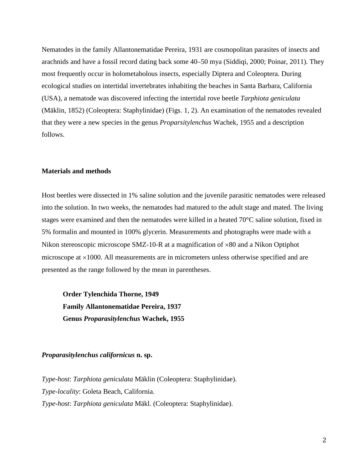Nematodes in the family Allantonematidae Pereira, 1931 are cosmopolitan parasites of insects and arachnids and have a fossil record dating back some 40–50 mya (Siddiqi, 2000; Poinar, 2011). They most frequently occur in holometabolous insects, especially Diptera and Coleoptera. During ecological studies on intertidal invertebrates inhabiting the beaches in Santa Barbara, California (USA), a nematode was discovered infecting the intertidal rove beetle *Tarphiota geniculata* (Mäklin, 1852) (Coleoptera: Staphylinidae) (Figs. 1, 2). An examination of the nematodes revealed that they were a new species in the genus *Proparsitylenchus* Wachek, 1955 and a description follows.

## **Materials and methods**

Host beetles were dissected in 1% saline solution and the juvenile parasitic nematodes were released into the solution. In two weeks, the nematodes had matured to the adult stage and mated. The living stages were examined and then the nematodes were killed in a heated 70°C saline solution, fixed in 5% formalin and mounted in 100% glycerin. Measurements and photographs were made with a Nikon stereoscopic microscope SMZ-10-R at a magnification of ×80 and a Nikon Optiphot microscope at ×1000. All measurements are in micrometers unless otherwise specified and are presented as the range followed by the mean in parentheses.

**Order Tylenchida Thorne, 1949 Family Allantonematidae Pereira, 1937 Genus** *Proparasitylenchus* **Wachek, 1955**

## *Proparasitylenchus californicus* **n. sp.**

*Type-host*: *Tarphiota geniculata* Mäklin (Coleoptera: Staphylinidae). *Type-locality*: Goleta Beach, California. *Type-host*: *Tarphiota geniculata* Mäkl. (Coleoptera: Staphylinidae).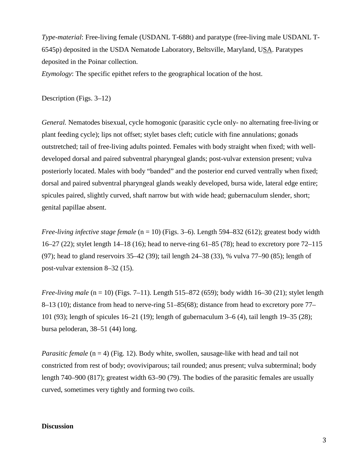*Type-material*: Free-living female (USDANL T-688t) and paratype (free-living male USDANL T-6545p) deposited in the USDA Nematode Laboratory, Beltsville, Maryland, USA. Paratypes deposited in the Poinar collection.

*Etymology*: The specific epithet refers to the geographical location of the host.

Description (Figs. 3–12)

*General.* Nematodes bisexual, cycle homogonic (parasitic cycle only- no alternating free-living or plant feeding cycle); lips not offset; stylet bases cleft; cuticle with fine annulations; gonads outstretched; tail of free-living adults pointed. Females with body straight when fixed; with welldeveloped dorsal and paired subventral pharyngeal glands; post-vulvar extension present; vulva posteriorly located. Males with body "banded" and the posterior end curved ventrally when fixed; dorsal and paired subventral pharyngeal glands weakly developed, bursa wide, lateral edge entire; spicules paired, slightly curved, shaft narrow but with wide head; gubernaculum slender, short; genital papillae absent.

*Free-living infective stage female* (n = 10) (Figs. 3–6). Length 594–832 (612); greatest body width 16–27 (22); stylet length 14–18 (16); head to nerve-ring 61–85 (78); head to excretory pore 72–115 (97); head to gland reservoirs 35–42 (39); tail length 24–38 (33), % vulva 77–90 (85); length of post-vulvar extension 8–32 (15).

*Free-living male* (n = 10) (Figs. 7–11). Length 515–872 (659); body width 16–30 (21); stylet length 8–13 (10); distance from head to nerve-ring 51–85(68); distance from head to excretory pore 77– 101 (93); length of spicules 16–21 (19); length of gubernaculum 3–6 (4), tail length 19–35 (28); bursa peloderan, 38–51 (44) long.

*Parasitic female* (n = 4) (Fig. 12). Body white, swollen, sausage-like with head and tail not constricted from rest of body; ovoviviparous; tail rounded; anus present; vulva subterminal; body length 740–900 (817); greatest width 63–90 (79). The bodies of the parasitic females are usually curved, sometimes very tightly and forming two coils.

## **Discussion**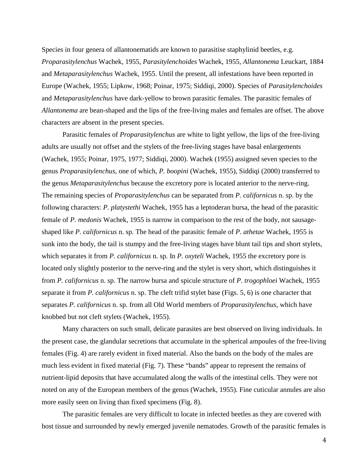Species in four genera of allantonematids are known to parasitise staphylinid beetles, e.g. *Proparasitylenchus* Wachek, 1955, *Parasitylenchoides* Wachek, 1955, *Allantonema* Leuckart, 1884 and *Metaparasitylenchus* Wachek, 1955. Until the present, all infestations have been reported in Europe (Wachek, 1955; Lipkow, 1968; Poinar, 1975; Siddiqi, 2000). Species of *Parasitylenchoides* and *Metaparasitylenchus* have dark-yellow to brown parasitic females. The parasitic females of *Allantonema* are bean-shaped and the lips of the free-living males and females are offset. The above characters are absent in the present species.

Parasitic females of *Proparasitylenchus* are white to light yellow, the lips of the free-living adults are usually not offset and the stylets of the free-living stages have basal enlargements (Wachek, 1955; Poinar, 1975, 1977; Siddiqi, 2000). Wachek (1955) assigned seven species to the genus *Proparasitylenchus*, one of which, *P. boopini* (Wachek, 1955), Siddiqi (2000) transferred to the genus *Metaparasitylenchus* because the excretory pore is located anterior to the nerve-ring. The remaining species of *Proparasitylenchus* can be separated from *P. californicus* n. sp. by the following characters: *P. platystethi* Wachek, 1955 has a leptoderan bursa, the head of the parasitic female of *P. medonis* Wachek, 1955 is narrow in comparison to the rest of the body, not sausageshaped like *P. californicus* n. sp. The head of the parasitic female of *P. athetae* Wachek, 1955 is sunk into the body, the tail is stumpy and the free-living stages have blunt tail tips and short stylets, which separates it from *P. californicus* n. sp. In *P. oxyteli* Wachek, 1955 the excretory pore is located only slightly posterior to the nerve-ring and the stylet is very short, which distinguishes it from *P. californicus* n. sp. The narrow bursa and spicule structure of *P. trogophloei* Wachek, 1955 separate it from *P. californicus* n. sp. The cleft trifid stylet base (Figs. 5, 6) is one character that separates *P. californicus* n. sp. from all Old World members of *Proparasitylenchus*, which have knobbed but not cleft stylets (Wachek, 1955).

Many characters on such small, delicate parasites are best observed on living individuals. In the present case, the glandular secretions that accumulate in the spherical ampoules of the free-living females (Fig. 4) are rarely evident in fixed material. Also the bands on the body of the males are much less evident in fixed material (Fig. 7). These "bands" appear to represent the remains of nutrient-lipid deposits that have accumulated along the walls of the intestinal cells. They were not noted on any of the European members of the genus (Wachek, 1955). Fine cuticular annules are also more easily seen on living than fixed specimens (Fig. 8).

The parasitic females are very difficult to locate in infected beetles as they are covered with host tissue and surrounded by newly emerged juvenile nematodes. Growth of the parasitic females is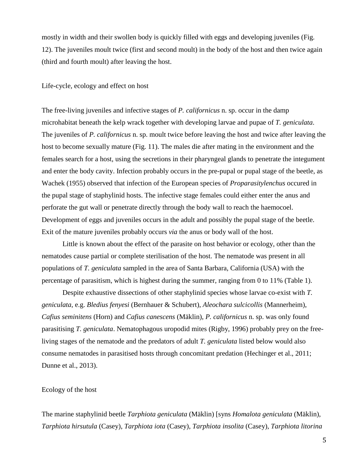mostly in width and their swollen body is quickly filled with eggs and developing juveniles (Fig. 12). The juveniles moult twice (first and second moult) in the body of the host and then twice again (third and fourth moult) after leaving the host.

Life-cycle, ecology and effect on host

The free-living juveniles and infective stages of *P. californicus* n. sp. occur in the damp microhabitat beneath the kelp wrack together with developing larvae and pupae of *T. geniculata*. The juveniles of *P. californicus* n. sp. moult twice before leaving the host and twice after leaving the host to become sexually mature (Fig. 11). The males die after mating in the environment and the females search for a host, using the secretions in their pharyngeal glands to penetrate the integument and enter the body cavity. Infection probably occurs in the pre-pupal or pupal stage of the beetle, as Wachek (1955) observed that infection of the European species of *Proparasitylenchus* occured in the pupal stage of staphylinid hosts. The infective stage females could either enter the anus and perforate the gut wall or penetrate directly through the body wall to reach the haemocoel. Development of eggs and juveniles occurs in the adult and possibly the pupal stage of the beetle. Exit of the mature juveniles probably occurs *via* the anus or body wall of the host.

Little is known about the effect of the parasite on host behavior or ecology, other than the nematodes cause partial or complete sterilisation of the host. The nematode was present in all populations of *T. geniculata* sampled in the area of Santa Barbara, California (USA) with the percentage of parasitism, which is highest during the summer, ranging from 0 to 11% (Table 1).

Despite exhaustive dissections of other staphylinid species whose larvae co-exist with *T. geniculata*, e.g. *Bledius fenyesi* (Bernhauer & Schubert), *Aleochara sulcicollis* (Mannerheim), *Cafius seminitens* (Horn) and *Cafius canescens* (Mäklin), *P. californicus* n. sp. was only found parasitising *T. geniculata*. Nematophagous uropodid mites (Rigby, 1996) probably prey on the freeliving stages of the nematode and the predators of adult *T. geniculata* listed below would also consume nematodes in parasitised hosts through concomitant predation (Hechinger et al., 2011; Dunne et al., 2013).

## Ecology of the host

The marine staphylinid beetle *Tarphiota geniculata* (Mäklin) [syns *Homalota geniculata* (Mäklin), *Tarphiota hirsutula* (Casey), *Tarphiota iota* (Casey), *Tarphiota insolita* (Casey), *Tarphiota litorina*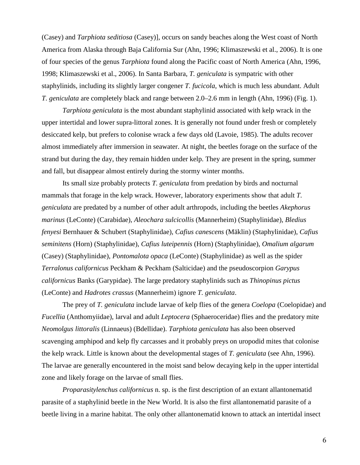(Casey) and *Tarphiota seditiosa* (Casey)], occurs on sandy beaches along the West coast of North America from Alaska through Baja California Sur (Ahn, 1996; Klimaszewski et al., 2006). It is one of four species of the genus *Tarphiota* found along the Pacific coast of North America (Ahn, 1996, 1998; Klimaszewski et al., 2006). In Santa Barbara, *T. geniculata* is sympatric with other staphylinids, including its slightly larger congener *T. fucicola*, which is much less abundant. Adult *T. geniculata* are completely black and range between 2.0–2.6 mm in length (Ahn, 1996) (Fig. 1).

*Tarphiota geniculata* is the most abundant staphylinid associated with kelp wrack in the upper intertidal and lower supra-littoral zones. It is generally not found under fresh or completely desiccated kelp, but prefers to colonise wrack a few days old (Lavoie, 1985). The adults recover almost immediately after immersion in seawater. At night, the beetles forage on the surface of the strand but during the day, they remain hidden under kelp. They are present in the spring, summer and fall, but disappear almost entirely during the stormy winter months.

Its small size probably protects *T. geniculata* from predation by birds and nocturnal mammals that forage in the kelp wrack. However, laboratory experiments show that adult *T. geniculata* are predated by a number of other adult arthropods, including the beetles *Akephorus marinus* (LeConte) (Carabidae), *Aleochara sulcicollis* (Mannerheim) (Staphylinidae), *Bledius fenyesi* Bernhauer & Schubert (Staphylinidae), *Cafius canescens* (Mäklin) (Staphylinidae), *Cafius seminitens* (Horn) (Staphylinidae), *Cafius luteipennis* (Horn) (Staphylinidae), *Omalium algarum*  (Casey) (Staphylinidae), *Pontomalota opaca* (LeConte) (Staphylinidae) as well as the spider *Terralonus californicus* Peckham & Peckham (Salticidae) and the pseudoscorpion *Garypus californicus* Banks (Garypidae). The large predatory staphylinids such as *Thinopinus pictus*  (LeConte) and *Hadrotes crassus* (Mannerheim) ignore *T. geniculata*.

The prey of *T. geniculata* include larvae of kelp flies of the genera *Coelopa* (Coelopidae) and *Fucellia* (Anthomyiidae), larval and adult *Leptocera* (Sphaeroceridae) flies and the predatory mite *Neomolgus littoralis* (Linnaeus) (Bdellidae). *Tarphiota geniculata* has also been observed scavenging amphipod and kelp fly carcasses and it probably preys on uropodid mites that colonise the kelp wrack. Little is known about the developmental stages of *T. geniculata* (see Ahn, 1996). The larvae are generally encountered in the moist sand below decaying kelp in the upper intertidal zone and likely forage on the larvae of small flies.

*Proparasitylenchus californicus* n. sp. is the first description of an extant allantonematid parasite of a staphylinid beetle in the New World. It is also the first allantonematid parasite of a beetle living in a marine habitat. The only other allantonematid known to attack an intertidal insect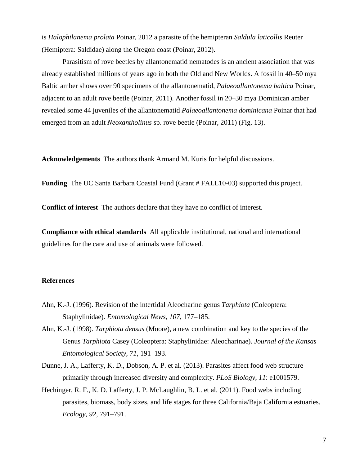is *Halophilanema prolata* Poinar, 2012 a parasite of the hemipteran *Saldula laticollis* Reuter (Hemiptera: Saldidae) along the Oregon coast (Poinar, 2012).

Parasitism of rove beetles by allantonematid nematodes is an ancient association that was already established millions of years ago in both the Old and New Worlds. A fossil in 40–50 mya Baltic amber shows over 90 specimens of the allantonematid, *Palaeoallantonema baltica* Poinar, adjacent to an adult rove beetle (Poinar, 2011). Another fossil in 20–30 mya Dominican amber revealed some 44 juveniles of the allantonematid *Palaeoallantonema dominicana* Poinar that had emerged from an adult *Neoxantholinus* sp. rove beetle (Poinar, 2011) (Fig. 13).

**Acknowledgements** The authors thank Armand M. Kuris for helpful discussions.

**Funding** The UC Santa Barbara Coastal Fund (Grant # FALL10-03) supported this project.

**Conflict of interest** The authors declare that they have no conflict of interest.

**Compliance with ethical standards** All applicable institutional, national and international guidelines for the care and use of animals were followed.

### **References**

- Ahn, K.-J. (1996). Revision of the intertidal Aleocharine genus *Tarphiota* (Coleoptera: Staphylinidae). *Entomological News*, *107*, 177–185.
- Ahn, K.-J. (1998). *Tarphiota densus* (Moore), a new combination and key to the species of the Genus *Tarphiota* Casey (Coleoptera: Staphylinidae: Aleocharinae). *Journal of the Kansas Entomological Society, 71*, 191–193.
- Dunne, J. A., Lafferty, K. D., Dobson, A. P. et al. (2013). Parasites affect food web structure primarily through increased diversity and complexity. *PLoS Biology*, *11*: e1001579.
- Hechinger, R. F., K. D. Lafferty, J. P. McLaughlin, B. L. et al. (2011). Food webs including parasites, biomass, body sizes, and life stages for three California/Baja California estuaries. *Ecology*, *92*, 791–791.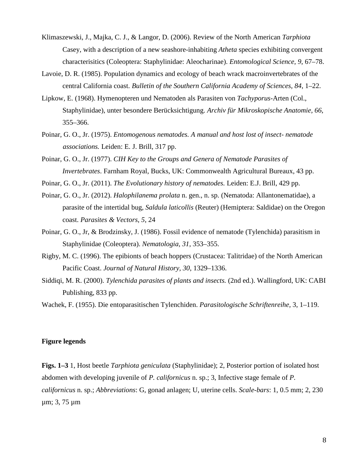- Klimaszewski, J., Majka, C. J., & Langor, D. (2006). Review of the North American *Tarphiota* Casey, with a description of a new seashore-inhabiting *Atheta* species exhibiting convergent characterisitics (Coleoptera: Staphylinidae: Aleocharinae). *Entomological Science, 9*, 67–78.
- Lavoie, D. R. (1985). Population dynamics and ecology of beach wrack macroinvertebrates of the central California coast. *Bulletin of the Southern California Academy of Sciences, 84*, 1–22.
- Lipkow, E. (1968). Hymenopteren und Nematoden als Parasiten von *Tachyporus*-Arten (Col., Staphylinidae), unter besondere Berücksichtigung. *Archiv für Mikroskopische Anatomie, 66*, 355–366.
- Poinar, G. O., Jr. (1975). *Entomogenous nematodes. A manual and host lost of insect- nematode associations.* Leiden: E. J. Brill, 317 pp.
- Poinar, G. O., Jr. (1977). *CIH Key to the Groups and Genera of Nematode Parasites of Invertebrates*. Farnham Royal, Bucks, UK: Commonwealth Agricultural Bureaux, 43 pp.
- Poinar, G. O., Jr. (2011). *The Evolutionary history of nematodes.* Leiden: E.J. Brill, 429 pp.
- Poinar, G. O., Jr. (2012). *Halophilanema prolata* n. gen., n. sp. (Nematoda: Allantonematidae), a parasite of the intertidal bug, *Saldula laticollis* (Reuter) (Hemiptera: Saldidae) on the Oregon coast. *Parasites & Vectors*, *5*, 24
- Poinar, G. O., Jr, & Brodzinsky, J. (1986). Fossil evidence of nematode (Tylenchida) parasitism in Staphylinidae (Coleoptera). *Nematologia, 31*, 353–355.
- Rigby, M. C. (1996). The epibionts of beach hoppers (Crustacea: Talitridae) of the North American Pacific Coast. *Journal of Natural History, 30*, 1329–1336.
- Siddiqi, M. R. (2000). *Tylenchida parasites of plants and insects.* (2nd ed.). Wallingford, UK: CABI Publishing, 833 pp.

Wachek, F. (1955). Die entoparasitischen Tylenchiden. *Parasitologische Schriftenreihe,* 3, 1–119.

## **Figure legends**

**Figs. 1–3** 1, Host beetle *Tarphiota geniculata* (Staphylinidae); 2, Posterior portion of isolated host abdomen with developing juvenile of *P. californicus* n. sp.; 3, Infective stage female of *P. californicus* n. sp.; *Abbreviations*: G, gonad anlagen; U, uterine cells. *Scale-bars*: 1, 0.5 mm; 2, 230 µm; 3, 75 µm